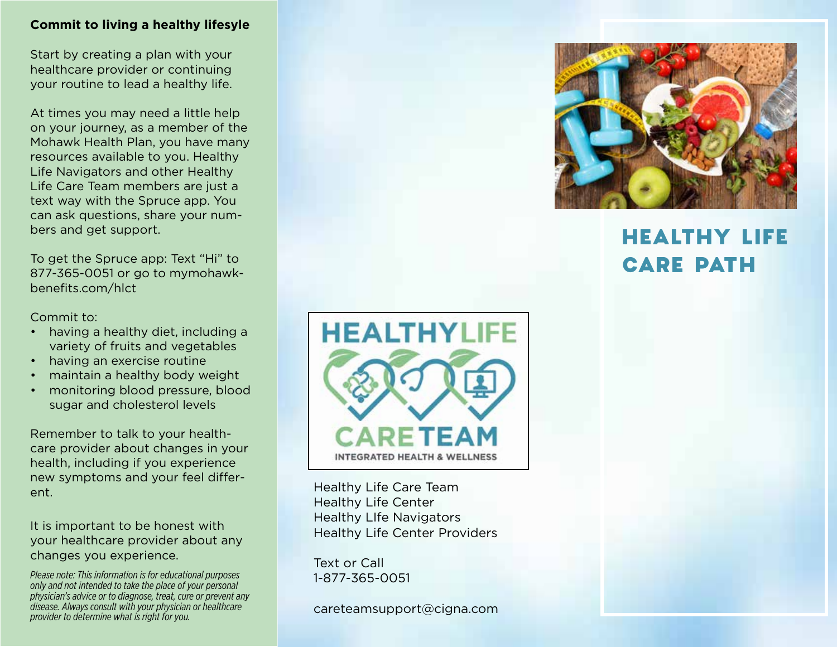## **Commit to living a healthy lifesyle**

Start by creating a plan with your healthcare provider or continuing your routine to lead a healthy life.

At times you may need a little help on your journey, as a member of the Mohawk Health Plan, you have many resources available to you. Healthy Life Navigators and other Healthy Life Care Team members are just a text way with the Spruce app. You can ask questions, share your numbers and get support.

To get the Spruce app: Text "Hi" to 877-365-0051 or go to mymohawkbenefits.com/hlct

Commit to:

- having a healthy diet, including a variety of fruits and vegetables
- having an exercise routine
- maintain a healthy body weight
- monitoring blood pressure, blood sugar and cholesterol levels

Remember to talk to your healthcare provider about changes in your health, including if you experience new symptoms and your feel different.

It is important to be honest with your healthcare provider about any changes you experience.

*Please note: This information is for educational purposes only and not intended to take the place of your personal physician's advice or to diagnose, treat, cure or prevent any disease. Always consult with your physician or healthcare provider to determine what is right for you.*



Healthy Life Care Team Healthy Life Center Healthy LIfe Navigators Healthy Life Center Providers

Text or Call 1-877-365-0051

careteamsupport@cigna.com



# HEALTHY LIFE CARE PATH